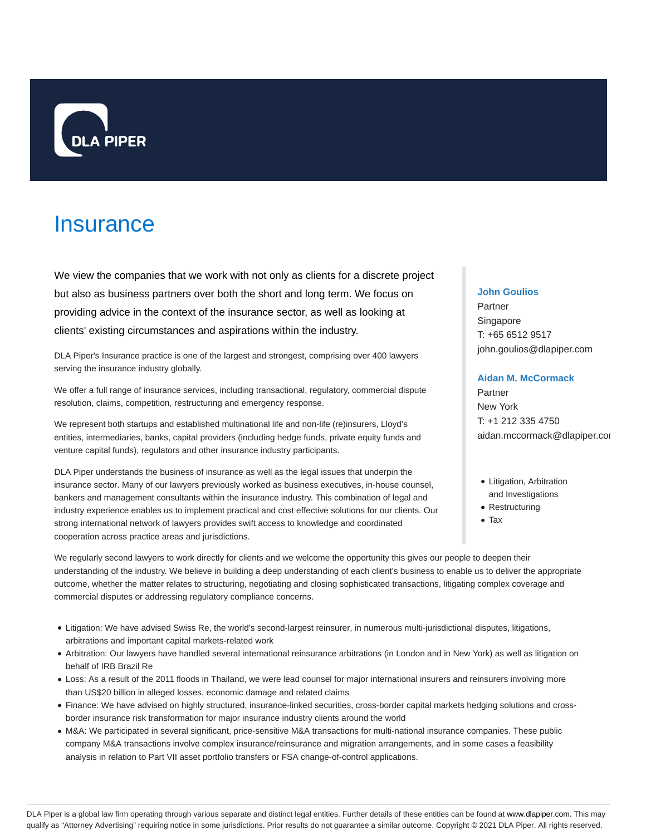

# **Insurance**

We view the companies that we work with not only as clients for a discrete project but also as business partners over both the short and long term. We focus on providing advice in the context of the insurance sector, as well as looking at clients' existing circumstances and aspirations within the industry.

DLA Piper's Insurance practice is one of the largest and strongest, comprising over 400 lawyers serving the insurance industry globally.

We offer a full range of insurance services, including transactional, regulatory, commercial dispute resolution, claims, competition, restructuring and emergency response.

We represent both startups and established multinational life and non-life (re)insurers, Lloyd's entities, intermediaries, banks, capital providers (including hedge funds, private equity funds and venture capital funds), regulators and other insurance industry participants.

DLA Piper understands the business of insurance as well as the legal issues that underpin the insurance sector. Many of our lawyers previously worked as business executives, in-house counsel, bankers and management consultants within the insurance industry. This combination of legal and industry experience enables us to implement practical and cost effective solutions for our clients. Our strong international network of lawyers provides swift access to knowledge and coordinated cooperation across practice areas and jurisdictions.

## **John Goulios**

Partner Singapore T: +65 6512 9517 john.goulios@dlapiper.com

#### **Aidan M. McCormack**

Partner New York T: +1 212 335 4750 aidan.mccormack@dlapiper.cor

- Litigation, Arbitration and Investigations
- Restructuring
- Tax

We regularly second lawyers to work directly for clients and we welcome the opportunity this gives our people to deepen their understanding of the industry. We believe in building a deep understanding of each client's business to enable us to deliver the appropriate outcome, whether the matter relates to structuring, negotiating and closing sophisticated transactions, litigating complex coverage and commercial disputes or addressing regulatory compliance concerns.

- Litigation: We have advised Swiss Re, the world's second-largest reinsurer, in numerous multi-jurisdictional disputes, litigations, arbitrations and important capital markets-related work
- Arbitration: Our lawyers have handled several international reinsurance arbitrations (in London and in New York) as well as litigation on behalf of IRB Brazil Re
- Loss: As a result of the 2011 floods in Thailand, we were lead counsel for major international insurers and reinsurers involving more than US\$20 billion in alleged losses, economic damage and related claims
- Finance: We have advised on highly structured, insurance-linked securities, cross-border capital markets hedging solutions and crossborder insurance risk transformation for major insurance industry clients around the world
- M&A: We participated in several significant, price-sensitive M&A transactions for multi-national insurance companies. These public company M&A transactions involve complex insurance/reinsurance and migration arrangements, and in some cases a feasibility analysis in relation to Part VII asset portfolio transfers or FSA change-of-control applications.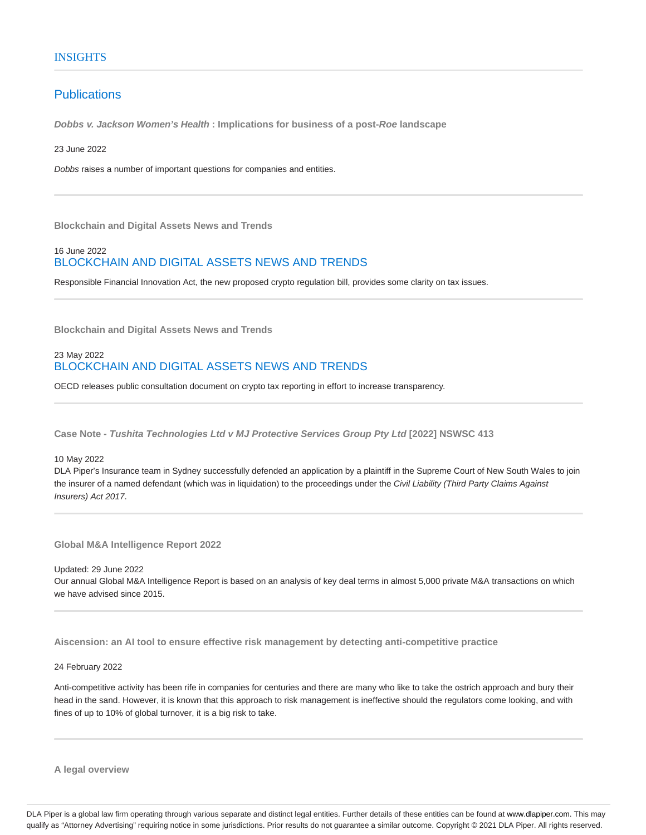## **Publications**

**Dobbs v. Jackson Women's Health : Implications for business of a post-Roe landscape**

23 June 2022

Dobbs raises a number of important questions for companies and entities.

**Blockchain and Digital Assets News and Trends**

## 16 June 2022 BLOCKCHAIN AND DIGITAL ASSETS NEWS AND TRENDS

Responsible Financial Innovation Act, the new proposed crypto regulation bill, provides some clarity on tax issues.

**Blockchain and Digital Assets News and Trends**

## 23 May 2022 BLOCKCHAIN AND DIGITAL ASSETS NEWS AND TRENDS

OECD releases public consultation document on crypto tax reporting in effort to increase transparency.

**Case Note - Tushita Technologies Ltd v MJ Protective Services Group Pty Ltd [2022] NSWSC 413**

10 May 2022

DLA Piper's Insurance team in Sydney successfully defended an application by a plaintiff in the Supreme Court of New South Wales to join the insurer of a named defendant (which was in liquidation) to the proceedings under the Civil Liability (Third Party Claims Against Insurers) Act 2017.

**Global M&A Intelligence Report 2022**

Updated: 29 June 2022 Our annual Global M&A Intelligence Report is based on an analysis of key deal terms in almost 5,000 private M&A transactions on which we have advised since 2015.

**Aiscension: an AI tool to ensure effective risk management by detecting anti-competitive practice**

24 February 2022

Anti-competitive activity has been rife in companies for centuries and there are many who like to take the ostrich approach and bury their head in the sand. However, it is known that this approach to risk management is ineffective should the regulators come looking, and with fines of up to 10% of global turnover, it is a big risk to take.

**A legal overview**

DLA Piper is a global law firm operating through various separate and distinct legal entities. Further details of these entities can be found at www.dlapiper.com. This may qualify as "Attorney Advertising" requiring notice in some jurisdictions. Prior results do not guarantee a similar outcome. Copyright © 2021 DLA Piper. All rights reserved.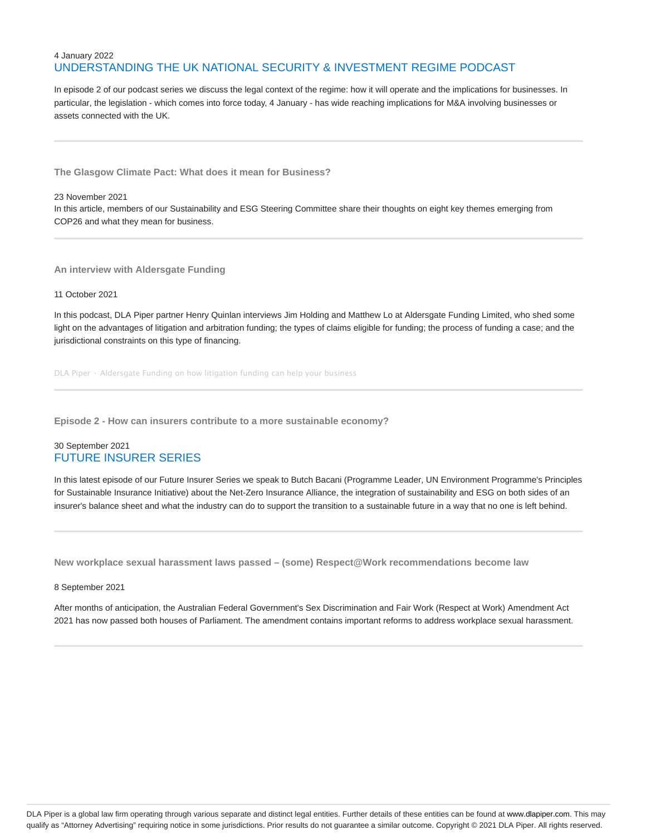## 4 January 2022 UNDERSTANDING THE UK NATIONAL SECURITY & INVESTMENT REGIME PODCAST

In episode 2 of our podcast series we discuss the legal context of the regime: how it will operate and the implications for businesses. In particular, the legislation - which comes into force today, 4 January - has wide reaching implications for M&A involving businesses or assets connected with the UK.

**The Glasgow Climate Pact: What does it mean for Business?**

#### 23 November 2021

In this article, members of our Sustainability and ESG Steering Committee share their thoughts on eight key themes emerging from COP26 and what they mean for business.

**An interview with Aldersgate Funding**

#### 11 October 2021

In this podcast, DLA Piper partner Henry Quinlan interviews Jim Holding and Matthew Lo at Aldersgate Funding Limited, who shed some light on the advantages of litigation and arbitration funding; the types of claims eligible for funding; the process of funding a case; and the jurisdictional constraints on this type of financing.

DLA Piper · Aldersgate Funding on how litigation funding can help your business

**Episode 2 - How can insurers contribute to a more sustainable economy?**

## 30 September 2021 FUTURE INSURER SERIES

In this latest episode of our Future Insurer Series we speak to Butch Bacani (Programme Leader, UN Environment Programme's Principles for Sustainable Insurance Initiative) about the Net-Zero Insurance Alliance, the integration of sustainability and ESG on both sides of an insurer's balance sheet and what the industry can do to support the transition to a sustainable future in a way that no one is left behind.

**New workplace sexual harassment laws passed – (some) Respect@Work recommendations become law**

#### 8 September 2021

After months of anticipation, the Australian Federal Government's Sex Discrimination and Fair Work (Respect at Work) Amendment Act 2021 has now passed both houses of Parliament. The amendment contains important reforms to address workplace sexual harassment.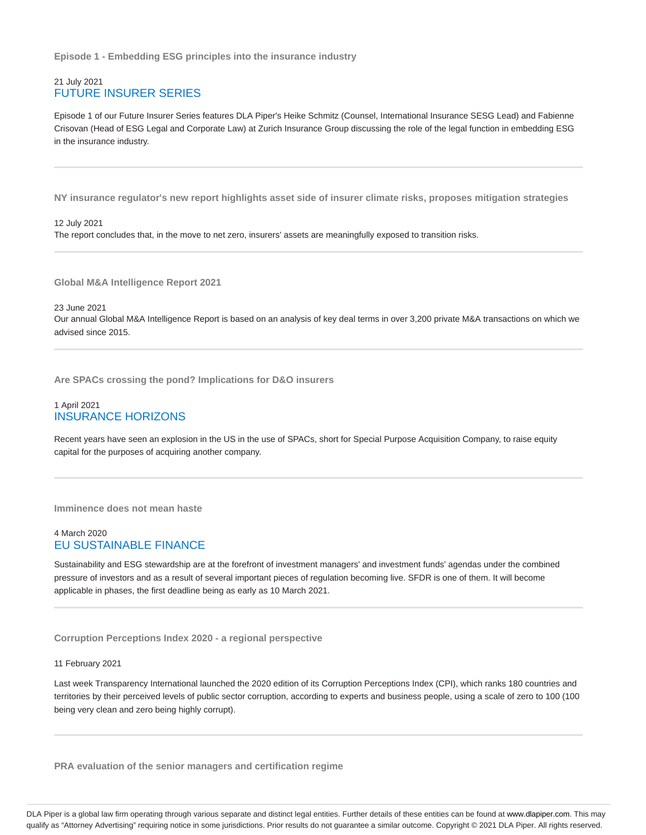**Episode 1 - Embedding ESG principles into the insurance industry**

## 21 July 2021 FUTURE INSURER SERIES

Episode 1 of our Future Insurer Series features DLA Piper's Heike Schmitz (Counsel, International Insurance SESG Lead) and Fabienne Crisovan (Head of ESG Legal and Corporate Law) at Zurich Insurance Group discussing the role of the legal function in embedding ESG in the insurance industry.

**NY insurance regulator's new report highlights asset side of insurer climate risks, proposes mitigation strategies**

12 July 2021 The report concludes that, in the move to net zero, insurers' assets are meaningfully exposed to transition risks.

**Global M&A Intelligence Report 2021**

23 June 2021 Our annual Global M&A Intelligence Report is based on an analysis of key deal terms in over 3,200 private M&A transactions on which we advised since 2015.

**Are SPACs crossing the pond? Implications for D&O insurers**

#### 1 April 2021 INSURANCE HORIZONS

Recent years have seen an explosion in the US in the use of SPACs, short for Special Purpose Acquisition Company, to raise equity capital for the purposes of acquiring another company.

**Imminence does not mean haste**

#### 4 March 2020 EU SUSTAINABLE FINANCE

Sustainability and ESG stewardship are at the forefront of investment managers' and investment funds' agendas under the combined pressure of investors and as a result of several important pieces of regulation becoming live. SFDR is one of them. It will become applicable in phases, the first deadline being as early as 10 March 2021.

**Corruption Perceptions Index 2020 - a regional perspective**

11 February 2021

Last week Transparency International launched the 2020 edition of its Corruption Perceptions Index (CPI), which ranks 180 countries and territories by their perceived levels of public sector corruption, according to experts and business people, using a scale of zero to 100 (100 being very clean and zero being highly corrupt).

**PRA evaluation of the senior managers and certification regime**

DLA Piper is a global law firm operating through various separate and distinct legal entities. Further details of these entities can be found at www.dlapiper.com. This may qualify as "Attorney Advertising" requiring notice in some jurisdictions. Prior results do not guarantee a similar outcome. Copyright @ 2021 DLA Piper. All rights reserved.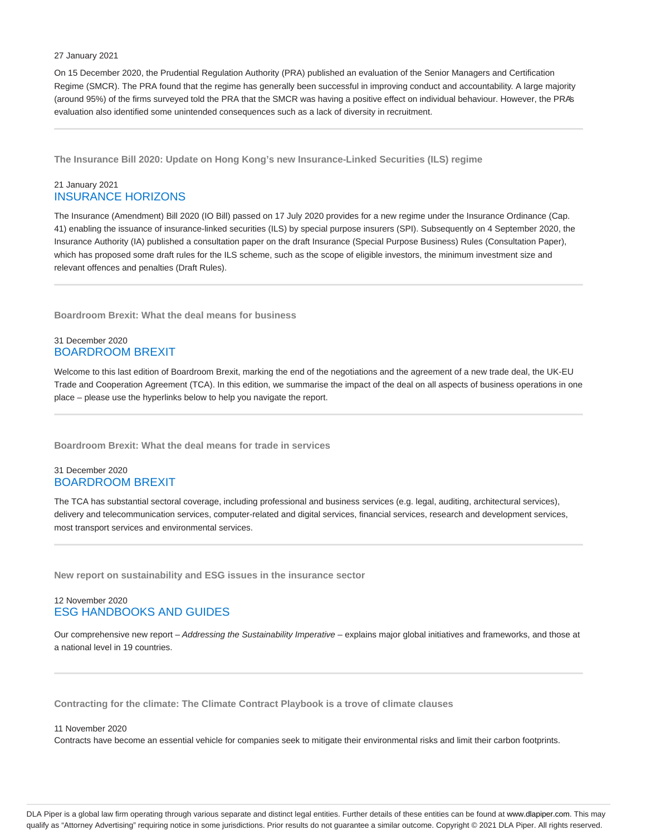#### 27 January 2021

On 15 December 2020, the Prudential Regulation Authority (PRA) published an evaluation of the Senior Managers and Certification Regime (SMCR). The PRA found that the regime has generally been successful in improving conduct and accountability. A large majority (around 95%) of the firms surveyed told the PRA that the SMCR was having a positive effect on individual behaviour. However, the PRA's evaluation also identified some unintended consequences such as a lack of diversity in recruitment.

**The Insurance Bill 2020: Update on Hong Kong's new Insurance-Linked Securities (ILS) regime**

## 21 January 2021 INSURANCE HORIZONS

The Insurance (Amendment) Bill 2020 (IO Bill) passed on 17 July 2020 provides for a new regime under the Insurance Ordinance (Cap. 41) enabling the issuance of insurance-linked securities (ILS) by special purpose insurers (SPI). Subsequently on 4 September 2020, the Insurance Authority (IA) published a consultation paper on the draft Insurance (Special Purpose Business) Rules (Consultation Paper), which has proposed some draft rules for the ILS scheme, such as the scope of eligible investors, the minimum investment size and relevant offences and penalties (Draft Rules).

**Boardroom Brexit: What the deal means for business**

## 31 December 2020 BOARDROOM BREXIT

Welcome to this last edition of Boardroom Brexit, marking the end of the negotiations and the agreement of a new trade deal, the UK-EU Trade and Cooperation Agreement (TCA). In this edition, we summarise the impact of the deal on all aspects of business operations in one place – please use the hyperlinks below to help you navigate the report.

**Boardroom Brexit: What the deal means for trade in services**

## 31 December 2020 BOARDROOM BREXIT

The TCA has substantial sectoral coverage, including professional and business services (e.g. legal, auditing, architectural services), delivery and telecommunication services, computer-related and digital services, financial services, research and development services, most transport services and environmental services.

**New report on sustainability and ESG issues in the insurance sector**

## 12 November 2020 ESG HANDBOOKS AND GUIDES

Our comprehensive new report – Addressing the Sustainability Imperative – explains major global initiatives and frameworks, and those at a national level in 19 countries.

**Contracting for the climate: The Climate Contract Playbook is a trove of climate clauses**

11 November 2020

Contracts have become an essential vehicle for companies seek to mitigate their environmental risks and limit their carbon footprints.

DLA Piper is a global law firm operating through various separate and distinct legal entities. Further details of these entities can be found at www.dlapiper.com. This may qualify as "Attorney Advertising" requiring notice in some jurisdictions. Prior results do not guarantee a similar outcome. Copyright © 2021 DLA Piper. All rights reserved.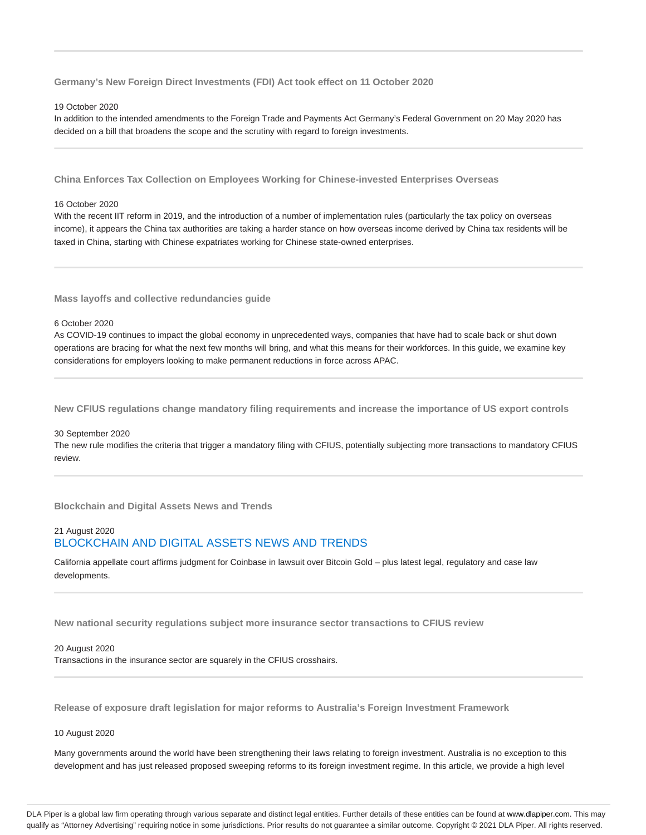**Germany's New Foreign Direct Investments (FDI) Act took effect on 11 October 2020**

#### 19 October 2020

In addition to the intended amendments to the Foreign Trade and Payments Act Germany's Federal Government on 20 May 2020 has decided on a bill that broadens the scope and the scrutiny with regard to foreign investments.

**China Enforces Tax Collection on Employees Working for Chinese-invested Enterprises Overseas**

#### 16 October 2020

With the recent IIT reform in 2019, and the introduction of a number of implementation rules (particularly the tax policy on overseas income), it appears the China tax authorities are taking a harder stance on how overseas income derived by China tax residents will be taxed in China, starting with Chinese expatriates working for Chinese state-owned enterprises.

**Mass layoffs and collective redundancies guide**

#### 6 October 2020

As COVID-19 continues to impact the global economy in unprecedented ways, companies that have had to scale back or shut down operations are bracing for what the next few months will bring, and what this means for their workforces. In this guide, we examine key considerations for employers looking to make permanent reductions in force across APAC.

**New CFIUS regulations change mandatory filing requirements and increase the importance of US export controls**

#### 30 September 2020

The new rule modifies the criteria that trigger a mandatory filing with CFIUS, potentially subjecting more transactions to mandatory CFIUS review.

**Blockchain and Digital Assets News and Trends**

## 21 August 2020 BLOCKCHAIN AND DIGITAL ASSETS NEWS AND TRENDS

California appellate court affirms judgment for Coinbase in lawsuit over Bitcoin Gold – plus latest legal, regulatory and case law developments.

**New national security regulations subject more insurance sector transactions to CFIUS review**

#### 20 August 2020

Transactions in the insurance sector are squarely in the CFIUS crosshairs.

**Release of exposure draft legislation for major reforms to Australia's Foreign Investment Framework**

10 August 2020

Many governments around the world have been strengthening their laws relating to foreign investment. Australia is no exception to this development and has just released proposed sweeping reforms to its foreign investment regime. In this article, we provide a high level

DLA Piper is a global law firm operating through various separate and distinct legal entities. Further details of these entities can be found at www.dlapiper.com. This may qualify as "Attorney Advertising" requiring notice in some jurisdictions. Prior results do not guarantee a similar outcome. Copyright @ 2021 DLA Piper. All rights reserved.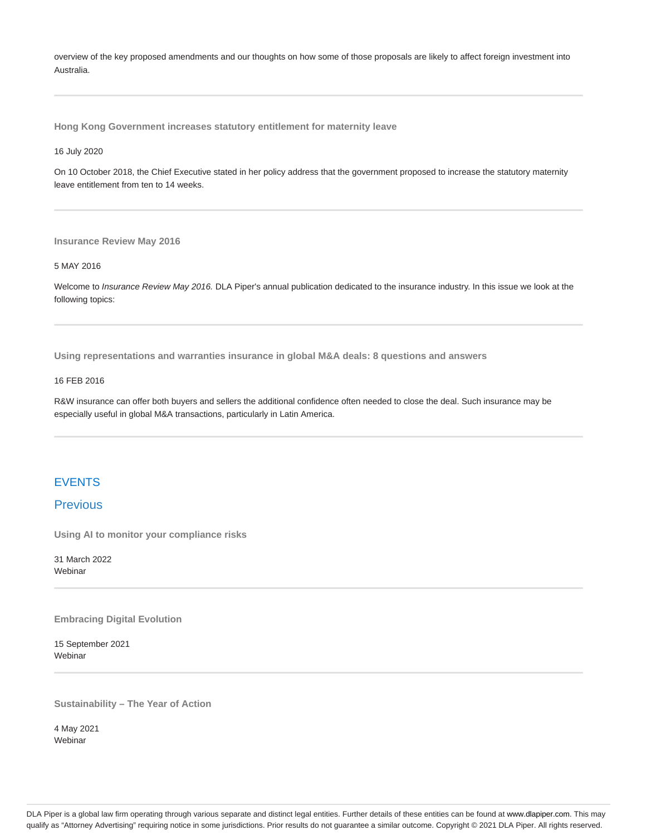overview of the key proposed amendments and our thoughts on how some of those proposals are likely to affect foreign investment into Australia.

**Hong Kong Government increases statutory entitlement for maternity leave**

16 July 2020

On 10 October 2018, the Chief Executive stated in her policy address that the government proposed to increase the statutory maternity leave entitlement from ten to 14 weeks.

**Insurance Review May 2016**

#### 5 MAY 2016

Welcome to Insurance Review May 2016. DLA Piper's annual publication dedicated to the insurance industry. In this issue we look at the following topics:

**Using representations and warranties insurance in global M&A deals: 8 questions and answers**

#### 16 FEB 2016

R&W insurance can offer both buyers and sellers the additional confidence often needed to close the deal. Such insurance may be especially useful in global M&A transactions, particularly in Latin America.

## **FVENTS**

## **Previous**

**Using AI to monitor your compliance risks**

31 March 2022 Webinar

**Embracing Digital Evolution**

15 September 2021 Webinar

**Sustainability – The Year of Action**

4 May 2021 Webinar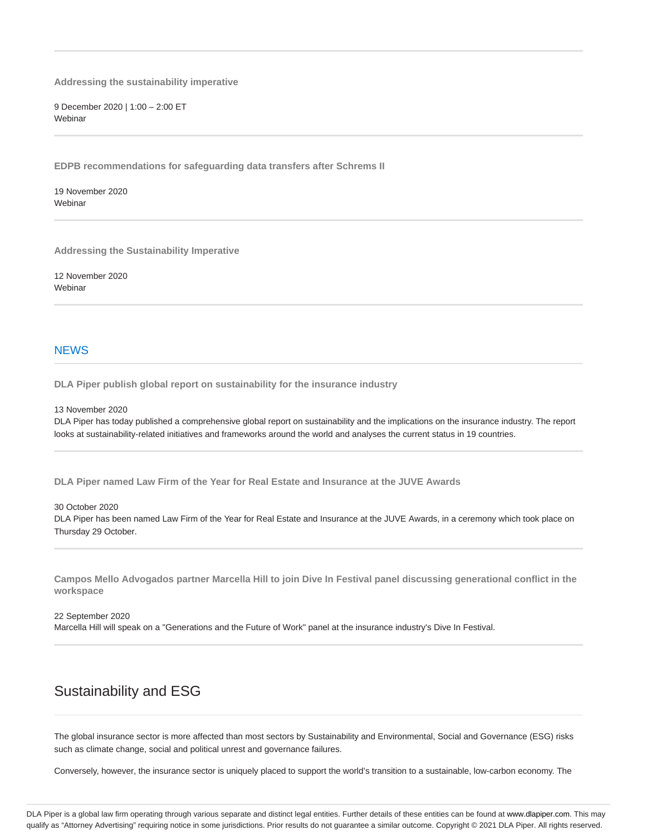**Addressing the sustainability imperative**

9 December 2020 | 1:00 – 2:00 ET **Webinar** 

**EDPB recommendations for safeguarding data transfers after Schrems II**

19 November 2020 **Webinar** 

**Addressing the Sustainability Imperative**

12 November 2020 **Webinar** 

## **NEWS**

**DLA Piper publish global report on sustainability for the insurance industry**

13 November 2020

DLA Piper has today published a comprehensive global report on sustainability and the implications on the insurance industry. The report looks at sustainability-related initiatives and frameworks around the world and analyses the current status in 19 countries.

**DLA Piper named Law Firm of the Year for Real Estate and Insurance at the JUVE Awards**

30 October 2020 DLA Piper has been named Law Firm of the Year for Real Estate and Insurance at the JUVE Awards, in a ceremony which took place on Thursday 29 October.

**Campos Mello Advogados partner Marcella Hill to join Dive In Festival panel discussing generational conflict in the workspace**

22 September 2020 Marcella Hill will speak on a "Generations and the Future of Work" panel at the insurance industry's Dive In Festival.

## Sustainability and ESG

The global insurance sector is more affected than most sectors by Sustainability and Environmental, Social and Governance (ESG) risks such as climate change, social and political unrest and governance failures.

Conversely, however, the insurance sector is uniquely placed to support the world's transition to a sustainable, low-carbon economy. The

DLA Piper is a global law firm operating through various separate and distinct legal entities. Further details of these entities can be found at www.dlapiper.com. This may qualify as "Attorney Advertising" requiring notice in some jurisdictions. Prior results do not guarantee a similar outcome. Copyright @ 2021 DLA Piper. All rights reserved.